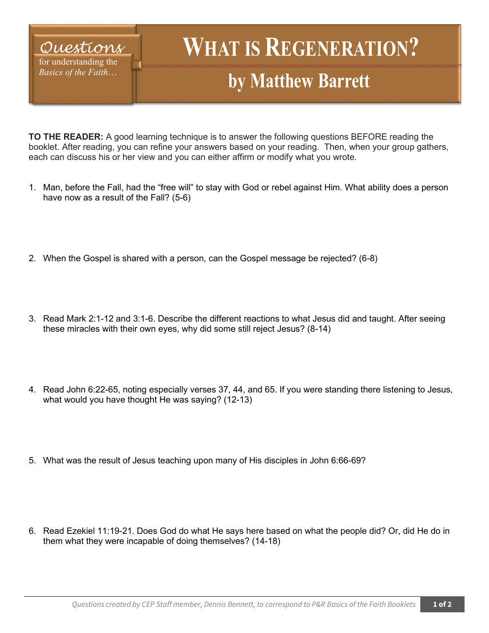## *Questions* for understanding the *Basics of the Faith*…

# **WHAT IS REGENERATION?**

## **by Matthew Barrett**

**TO THE READER:** A good learning technique is to answer the following questions BEFORE reading the booklet. After reading, you can refine your answers based on your reading. Then, when your group gathers, each can discuss his or her view and you can either affirm or modify what you wrote.

- 1. Man, before the Fall, had the "free will" to stay with God or rebel against Him. What ability does a person have now as a result of the Fall? (5-6)
- 2. When the Gospel is shared with a person, can the Gospel message be rejected? (6-8)
- 3. Read Mark 2:1-12 and 3:1-6. Describe the different reactions to what Jesus did and taught. After seeing these miracles with their own eyes, why did some still reject Jesus? (8-14)
- 4. Read John 6:22-65, noting especially verses 37, 44, and 65. If you were standing there listening to Jesus, what would you have thought He was saying? (12-13)
- 5. What was the result of Jesus teaching upon many of His disciples in John 6:66-69?
- 6. Read Ezekiel 11:19-21. Does God do what He says here based on what the people did? Or, did He do in them what they were incapable of doing themselves? (14-18)